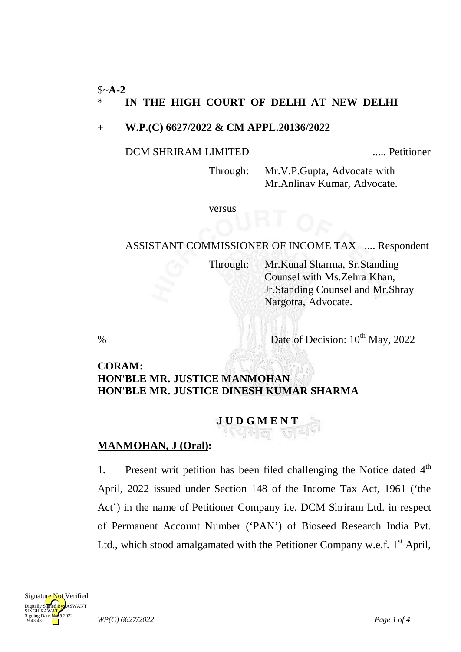### \$~**A-2** \* **IN THE HIGH COURT OF DELHI AT NEW DELHI**

### + **W.P.(C) 6627/2022 & CM APPL.20136/2022**

#### DCM SHRIRAM LIMITED ..... Petitioner

Through: Mr.V.P.Gupta, Advocate with Mr.Anlinav Kumar, Advocate.

versus

# ASSISTANT COMMISSIONER OF INCOME TAX .... Respondent

Through: Mr.Kunal Sharma, Sr.Standing Counsel with Ms.Zehra Khan, Jr.Standing Counsel and Mr.Shray Nargotra, Advocate.

% Date of Decision:  $10^{th}$  May, 2022

### **CORAM: HON'BLE MR. JUSTICE MANMOHAN HON'BLE MR. JUSTICE DINESH KUMAR SHARMA**

## **J U D G M E N T**

#### **MANMOHAN, J (Oral) :**

1. Present writ petition has been filed challenging the Notice dated 4<sup>th</sup> April, 2022 issued under Section 148 of the Income Tax Act, 1961 ('the Act') in the name of Petitioner Company i.e. DCM Shriram Ltd. in respect of Permanent Account Number ('PAN') of Bioseed Research India Pvt. Ltd., which stood amalgamated with the Petitioner Company w.e.f.  $1<sup>st</sup>$  April,

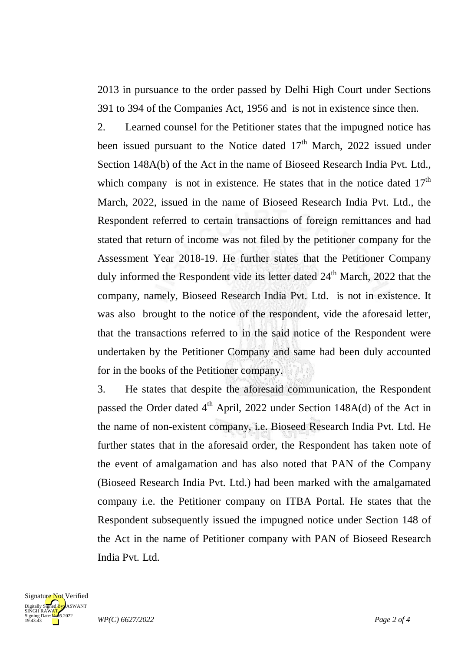2013 in pursuance to the order passed by Delhi High Court under Sections 391 to 394 of the Companies Act, 1956 and is not in existence since then.

2. Learned counsel for the Petitioner states that the impugned notice has been issued pursuant to the Notice dated  $17<sup>th</sup>$  March, 2022 issued under Section 148A(b) of the Act in the name of Bioseed Research India Pvt. Ltd., which company is not in existence. He states that in the notice dated  $17<sup>th</sup>$ March, 2022, issued in the name of Bioseed Research India Pvt. Ltd., the Respondent referred to certain transactions of foreign remittances and had stated that return of income was not filed by the petitioner company for the Assessment Year 2018-19. He further states that the Petitioner Company duly informed the Respondent vide its letter dated 24<sup>th</sup> March, 2022 that the company, namely, Bioseed Research India Pvt. Ltd. is not in existence. It was also brought to the notice of the respondent, vide the aforesaid letter, that the transactions referred to in the said notice of the Respondent were undertaken by the Petitioner Company and same had been duly accounted for in the books of the Petitioner company.

3. He states that despite the aforesaid communication, the Respondent passed the Order dated  $4<sup>th</sup>$  April, 2022 under Section 148A(d) of the Act in the name of non-existent company, i.e. Bioseed Research India Pvt. Ltd. He further states that in the aforesaid order, the Respondent has taken note of the event of amalgamation and has also noted that PAN of the Company (Bioseed Research India Pvt. Ltd.) had been marked with the amalgamated company i.e. the Petitioner company on ITBA Portal. He states that the Respondent subsequently issued the impugned notice under Section 148 of the Act in the name of Petitioner company with PAN of Bioseed Research India Pvt. Ltd.

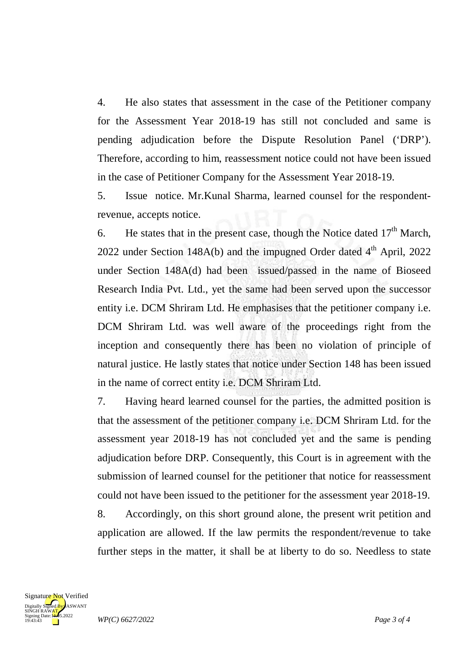4. He also states that assessment in the case of the Petitioner company for the Assessment Year 2018-19 has still not concluded and same is pending adjudication before the Dispute Resolution Panel ('DRP'). Therefore, according to him, reassessment notice could not have been issued in the case of Petitioner Company for the Assessment Year 2018-19.

5. Issue notice. Mr.Kunal Sharma, learned counsel for the respondentrevenue, accepts notice.

6. He states that in the present case, though the Notice dated  $17<sup>th</sup>$  March, 2022 under Section 148A(b) and the impugned Order dated  $4<sup>th</sup>$  April, 2022 under Section 148A(d) had been issued/passed in the name of Bioseed Research India Pvt. Ltd., yet the same had been served upon the successor entity i.e. DCM Shriram Ltd. He emphasises that the petitioner company i.e. DCM Shriram Ltd. was well aware of the proceedings right from the inception and consequently there has been no violation of principle of natural justice. He lastly states that notice under Section 148 has been issued in the name of correct entity i.e. DCM Shriram Ltd.

7. Having heard learned counsel for the parties, the admitted position is that the assessment of the petitioner company i.e. DCM Shriram Ltd. for the assessment year 2018-19 has not concluded yet and the same is pending adjudication before DRP. Consequently, this Court is in agreement with the submission of learned counsel for the petitioner that notice for reassessment could not have been issued to the petitioner for the assessment year 2018-19.

8. Accordingly, on this short ground alone, the present writ petition and application are allowed. If the law permits the respondent/revenue to take further steps in the matter, it shall be at liberty to do so. Needless to state